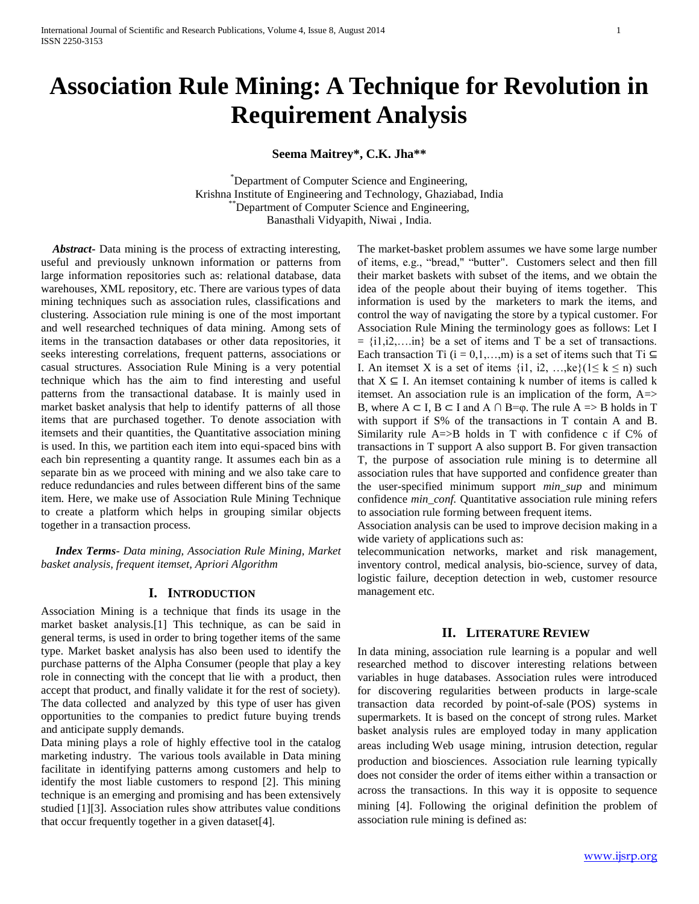# **Association Rule Mining: A Technique for Revolution in Requirement Analysis**

**Seema Maitrey\*, C.K. Jha\*\***

\*Department of Computer Science and Engineering, Krishna Institute of Engineering and Technology, Ghaziabad, India \*Department of Computer Science and Engineering, Banasthali Vidyapith, Niwai , India.

 *Abstract***-** Data mining is the process of extracting interesting, useful and previously unknown information or patterns from large information repositories such as: relational database, data warehouses, XML repository, etc. There are various types of data mining techniques such as association rules, classifications and clustering. Association rule mining is one of the most important and well researched techniques of data mining. Among sets of items in the transaction databases or other data repositories, it seeks interesting correlations, frequent patterns, associations or casual structures. Association Rule Mining is a very potential technique which has the aim to find interesting and useful patterns from the transactional database. It is mainly used in market basket analysis that help to identify patterns of all those items that are purchased together. To denote association with itemsets and their quantities, the Quantitative association mining is used. In this, we partition each item into equi-spaced bins with each bin representing a quantity range. It assumes each bin as a separate bin as we proceed with mining and we also take care to reduce redundancies and rules between different bins of the same item. Here, we make use of Association Rule Mining Technique to create a platform which helps in grouping similar objects together in a transaction process.

 *Index Terms*- *Data mining, Association Rule Mining, Market basket analysis, frequent itemset, Apriori Algorithm*

## **I. INTRODUCTION**

Association Mining is a technique that finds its usage in the market basket analysis.[1] This technique, as can be said in general terms, is used in order to bring together items of the same type. Market basket analysis has also been used to identify the purchase patterns of the Alpha Consumer (people that play a key role in connecting with the concept that lie with a product, then accept that product, and finally validate it for the rest of society). The data collected and analyzed by this type of user has given opportunities to the companies to predict future buying trends and anticipate supply demands.

Data mining plays a role of highly effective tool in the catalog marketing industry. The various tools available in Data mining facilitate in identifying patterns among customers and help to identify the most liable customers to respond [2]. This mining technique is an emerging and promising and has been extensively studied [1][3]. Association rules show attributes value conditions that occur frequently together in a given dataset[4].

The market-basket problem assumes we have some large number of items, e.g., "bread," "butter". Customers select and then fill their market baskets with subset of the items, and we obtain the idea of the people about their buying of items together. This information is used by the marketers to mark the items, and control the way of navigating the store by a typical customer. For Association Rule Mining the terminology goes as follows: Let I  $= \{i1, i2, \ldots, in\}$  be a set of items and T be a set of transactions. Each transaction Ti (i = 0,1,...,m) is a set of items such that Ti  $\subseteq$ I. An itemset X is a set of items  $\{i1, i2, \ldots, ke\}$  ( $1 \le k \le n$ ) such that  $X \subseteq I$ . An itemset containing k number of items is called k itemset. An association rule is an implication of the form, A=> B, where  $A \subset I$ ,  $B \subset I$  and  $A \cap B = \varphi$ . The rule  $A \Rightarrow B$  holds in T with support if S% of the transactions in T contain A and B. Similarity rule  $A \Rightarrow B$  holds in T with confidence c if  $C\%$  of transactions in T support A also support B. For given transaction T, the purpose of association rule mining is to determine all association rules that have supported and confidence greater than the user-specified minimum support *min\_sup* and minimum confidence *min\_conf.* Quantitative association rule mining refers to association rule forming between frequent items.

Association analysis can be used to improve decision making in a wide variety of applications such as:

telecommunication networks, market and risk management, inventory control, medical analysis, bio-science, survey of data, logistic failure, deception detection in web, customer resource management etc.

## **II. LITERATURE REVIEW**

In data mining, association rule learning is a popular and well researched method to discover interesting relations between variables in huge databases. Association rules were introduced for discovering regularities between products in large-scale transaction data recorded by point-of-sale (POS) systems in supermarkets. It is based on the concept of strong rules. Market basket analysis rules are employed today in many application areas including Web usage mining, intrusion detection, regular production and biosciences. Association rule learning typically does not consider the order of items either within a transaction or across the transactions. In this way it is opposite to sequence mining [4]. Following the original definition the problem of association rule mining is defined as: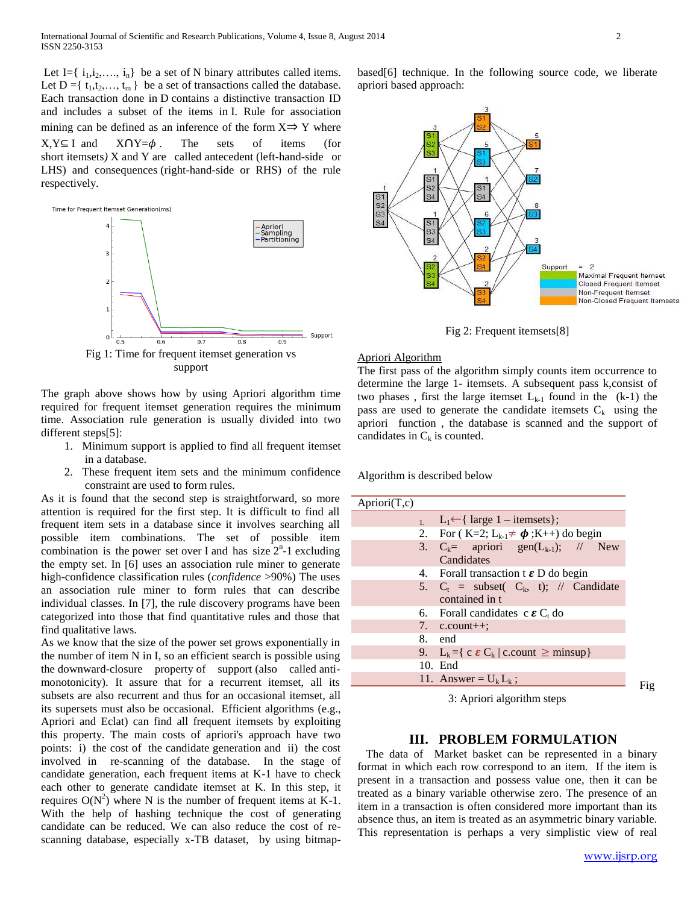Let I={ $i_1, i_2, \ldots, i_n$ } be a set of N binary attributes called items. Let  $D = \{t_1, t_2, \ldots, t_m\}$  be a set of transactions called the database. Each transaction done in D contains a distinctive transaction ID and includes a subset of the items in I. Rule for association mining can be defined as an inference of the form  $X \Rightarrow Y$  where  $X, Y \subseteq I$  and  $X \cap Y = \phi$ . The sets of items (for short itemsets*)* X and Y are called antecedent (left-hand-side or LHS) and consequences (right-hand-side or RHS) of the rule respectively.



The graph above shows how by using Apriori algorithm time required for frequent itemset generation requires the minimum time. Association rule generation is usually divided into two different steps[5]:

- 1. Minimum support is applied to find all frequent itemset in a database.
- 2. These frequent item sets and the minimum confidence constraint are used to form rules.

As it is found that the second step is straightforward, so more attention is required for the first step. It is difficult to find all frequent item sets in a database since it involves searching all possible item combinations. The set of possible item combination is the power set over I and has size  $2<sup>n</sup>$ -1 excluding the empty set. In [6] uses an association rule miner to generate high-confidence classification rules (*confidence* >90%) The uses an association rule miner to form rules that can describe individual classes. In [7], the rule discovery programs have been categorized into those that find quantitative rules and those that find qualitative laws.

As we know that the size of the power set grows exponentially in the number of item N in I, so an efficient search is possible using the downward-closure property of support (also called antimonotonicity). It assure that for a recurrent itemset, all its subsets are also recurrent and thus for an occasional itemset, all its supersets must also be occasional. Efficient algorithms (e.g., Apriori and Eclat) can find all frequent itemsets by exploiting this property. The main costs of apriori's approach have two points: i) the cost of the candidate generation and ii) the cost involved in re-scanning of the database. In the stage of candidate generation, each frequent items at K-1 have to check each other to generate candidate itemset at K. In this step, it requires  $O(N^2)$  where N is the number of frequent items at K-1. With the help of hashing technique the cost of generating candidate can be reduced. We can also reduce the cost of rescanning database, especially x-TB dataset, by using bitmapbased[6] technique. In the following source code, we liberate apriori based approach:



Fig 2: Frequent itemsets[8]

#### Apriori Algorithm

The first pass of the algorithm simply counts item occurrence to determine the large 1- itemsets. A subsequent pass k,consist of two phases, first the large itemset  $L_{k-1}$  found in the  $(k-1)$  the pass are used to generate the candidate itemsets  $C_k$  using the apriori function , the database is scanned and the support of candidates in  $C_k$  is counted.

Algorithm is described below

| A priori(T,c) |                                                                   |
|---------------|-------------------------------------------------------------------|
|               | $L_1$ $L_1 \leftarrow \{ \text{ large } 1 - \text{itemsets } \};$ |
|               | 2. For $(K=2; L_{k-1} \neq \boldsymbol{\phi}; K++)$ do begin      |
|               | 3. $C_k =$ apriori gen( $L_{k-1}$ ); // New                       |
|               | Candidates                                                        |
|               | 4. Forall transaction $t \in D$ do begin                          |
|               | 5. $C_t$ = subset( $C_k$ , t); // Candidate                       |
|               | contained in t                                                    |
|               | 6. Forall candidates c $\epsilon C_t$ do                          |
|               | 7. $c.count++;$                                                   |
|               | 8. end                                                            |
|               | 9. $L_k = \{ c \in C_k   c\text{.count } \geq \text{minsup} \}$   |
|               | 10. End                                                           |
|               | 11. Answer = $U_k L_k$ :                                          |
|               |                                                                   |

3: Apriori algorithm steps

### **III. PROBLEM FORMULATION**

 The data of Market basket can be represented in a binary format in which each row correspond to an item. If the item is present in a transaction and possess value one, then it can be treated as a binary variable otherwise zero. The presence of an item in a transaction is often considered more important than its absence thus, an item is treated as an asymmetric binary variable. This representation is perhaps a very simplistic view of real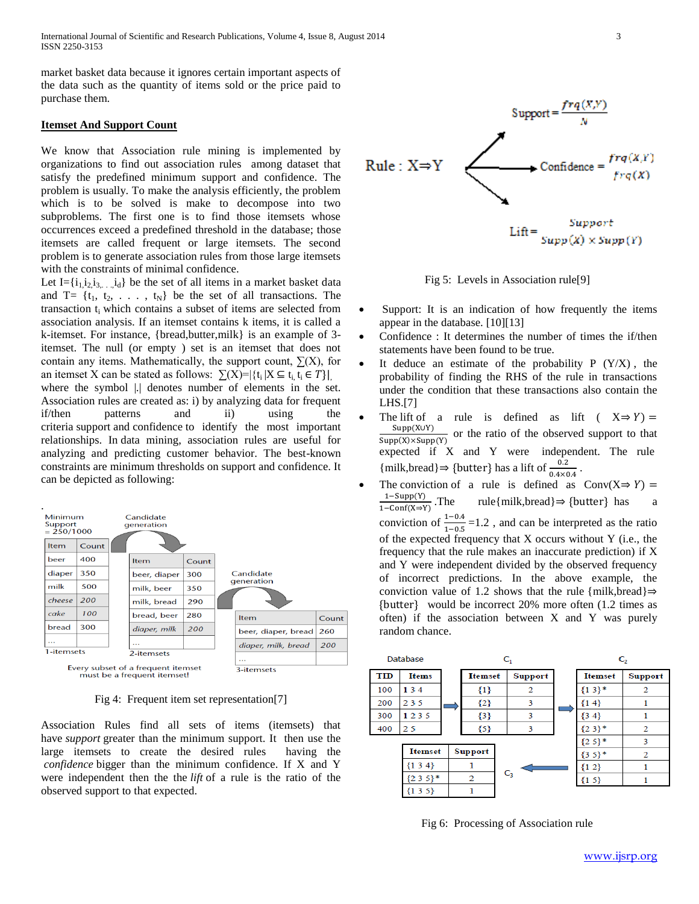International Journal of Scientific and Research Publications, Volume 4, Issue 8, August 2014 3 ISSN 2250-3153

market basket data because it ignores certain important aspects of the data such as the quantity of items sold or the price paid to purchase them.

## **Itemset And Support Count**

We know that Association rule mining is implemented by organizations to find out association rules among dataset that satisfy the predefined minimum support and confidence. The problem is usually. To make the analysis efficiently, the problem which is to be solved is make to decompose into two subproblems. The first one is to find those itemsets whose occurrences exceed a predefined threshold in the database; those itemsets are called frequent or large itemsets. The second problem is to generate association rules from those large itemsets with the constraints of minimal confidence.

Let  $I = \{i_1, i_2, i_3, \ldots, i_d\}$  be the set of all items in a market basket data and T=  $\{t_1, t_2, \ldots, t_N\}$  be the set of all transactions. The transaction ti which contains a subset of items are selected from association analysis. If an itemset contains k items, it is called a k-itemset. For instance, {bread,butter,milk} is an example of 3 itemset. The null (or empty ) set is an itemset that does not contain any items. Mathematically, the support count,  $\sum(X)$ , for an itemset X can be stated as follows:  $\sum(X)=|\{t_i | X \subseteq t_i, t_i \in T\}|$ where the symbol |.| denotes number of elements in the set. Association rules are created as: i) by analyzing data for frequent if/then patterns and ii) using the criteria support and confidence to identify the most important relationships. In data mining, association rules are useful for analyzing and predicting customer behavior. The best-known constraints are minimum thresholds on support and confidence. It can be depicted as following:



Fig 4: Frequent item set representation[7]

Association Rules find all sets of items (itemsets) that have *support* greater than the minimum support. It then use the large itemsets to create the desired rules having the *confidence* bigger than the minimum confidence. If X and Y were independent then the the *lift* of a rule is the ratio of the observed support to that expected.



Fig 5: Levels in Association rule[9]

- Support: It is an indication of how frequently the items appear in the database. [10][13]
- Confidence : It determines the number of times the if/then statements have been found to be true.
- It deduce an estimate of the probability  $P(Y/X)$ , the probability of finding the RHS of the rule in transactions under the condition that these transactions also contain the LHS.[7]
- The lift of a rule is defined as lift  $(X \Rightarrow Y) =$ S  $\frac{\text{Supp}(X\cup Y)}{\text{Supp}(X)\times \text{Supp}(Y)}$  or the ratio of the observed support to that expected if X and Y were independent. The rule {milk,bread}  $\Rightarrow$  {butter} has a lift of  $\frac{1}{0}$ .
- The conviction of a rule is defined as  $Conv(X \Rightarrow Y) =$  $\frac{1-\text{Supp}(Y)}{2}$ . The  $1 - \overline{Conf(X \Rightarrow Y)}$  $rule{$ | milk,bread} <math>\Rightarrow</math> {butter} has a conviction of  $\frac{1-0.4}{1-0.5}$  = 1.2, and can be interpreted as the ratio of the expected frequency that X occurs without Y (i.e., the frequency that the rule makes an inaccurate prediction) if X and Y were independent divided by the observed frequency of incorrect predictions. In the above example, the conviction value of 1.2 shows that the rule {milk,bread} $\Rightarrow$  would be incorrect 20% more often (1.2 times as often) if the association between X and Y was purely random chance.



Fig 6: Processing of Association rule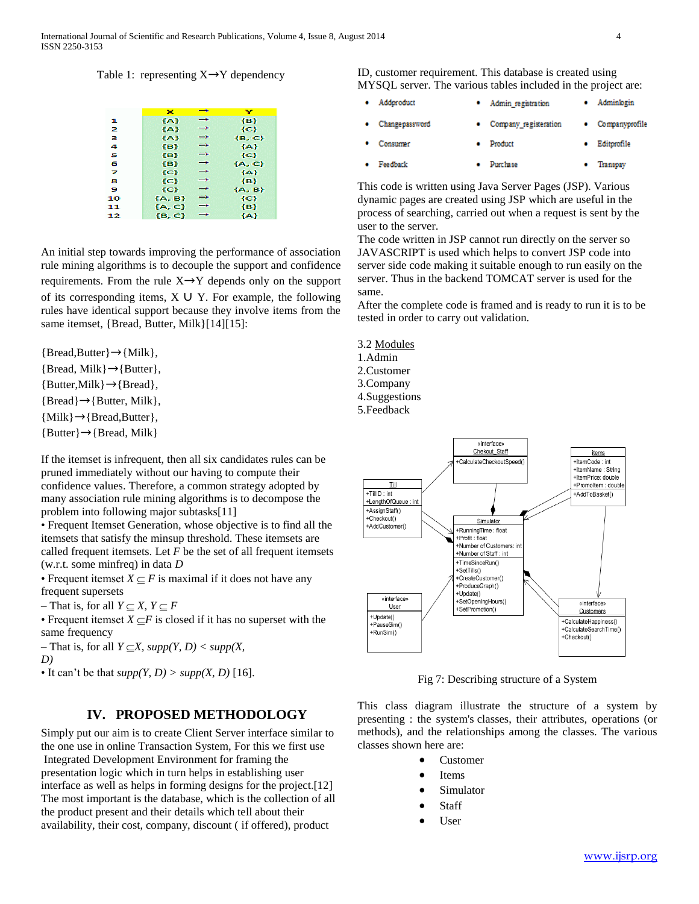## Table 1: representing  $X \rightarrow Y$  dependency

|    | ×          | $\rightarrow$ | v          |
|----|------------|---------------|------------|
| ж  | {A}        | →             | {B}        |
| 2  | ${A}$      | →             | {C}        |
| в  | ${A}$      | →             | $\{B, C\}$ |
| 4  | {B}        | →             | <b>{A}</b> |
| 5  | $\{B\}$    | →             | ${C}$      |
| 6  | ${B}$      | →             | {A, C}     |
| z  | {C}        | →             | 4A)        |
| в  | ${C}$      | →             | {B}        |
| 9  | ${C}$      | →             | ${A, B}$   |
| 10 | ${A, B}$   | →             | {C}        |
| 11 | ${A, C}$   | →             | $\{B\}$    |
| 12 | $\{B, C\}$ | →             | <b>{A}</b> |

An initial step towards improving the performance of association rule mining algorithms is to decouple the support and confidence requirements. From the rule  $X \rightarrow Y$  depends only on the support of its corresponding items,  $X \cup Y$ . For example, the following rules have identical support because they involve items from the same itemset, {Bread, Butter, Milk}[14][15]:

 ${Bread,Butter} \rightarrow {Milk},$  ${Bread, Milk} \rightarrow {Butter},$  ${Butter, Milk} \rightarrow {Bread},$  ${Bread} \rightarrow {Butter, Milk},$ 

 ${Milk} \rightarrow {Bread, Butter}$ ,

 ${Butter} \rightarrow {Bread, Milk}$ 

If the itemset is infrequent, then all six candidates rules can be pruned immediately without our having to compute their confidence values. Therefore, a common strategy adopted by many association rule mining algorithms is to decompose the problem into following major subtasks[11]

• Frequent Itemset Generation, whose objective is to find all the itemsets that satisfy the minsup threshold. These itemsets are called frequent itemsets. Let *F* be the set of all frequent itemsets (w.r.t. some minfreq) in data *D*

• Frequent itemset  $X \subset F$  is maximal if it does not have any frequent supersets

 $-$  That is, for all  $Y \subset X$ ,  $Y \subset F$ 

• Frequent itemset  $X \subseteq F$  is closed if it has no superset with the same frequency

 $-$  That is, for all  $Y \subseteq X$ , supp(Y, D) < supp(X, *D)*

• It can't be that  $supp(Y, D) > supp(X, D)$  [16].

# **IV. PROPOSED METHODOLOGY**

Simply put our aim is to create Client Server interface similar to the one use in online Transaction System, For this we first use Integrated Development Environment for framing the presentation logic which in turn helps in establishing user interface as well as helps in forming designs for the project.[12] The most important is the database, which is the collection of all the product present and their details which tell about their availability, their cost, company, discount ( if offered), product

ID, customer requirement. This database is created using MYSQL server. The various tables included in the project are:

| Addproduct     | • Admin registration    | Adminiogin       |
|----------------|-------------------------|------------------|
| Changepassword | • Company registeration | • Companyprofile |
| Consumer       | Product                 | Editprofile      |
| Feedback       | <b>Purchase</b>         | Transpay         |

This code is written using Java Server Pages (JSP). Various dynamic pages are created using JSP which are useful in the process of searching, carried out when a request is sent by the user to the server.

The code written in JSP cannot run directly on the server so JAVASCRIPT is used which helps to convert JSP code into server side code making it suitable enough to run easily on the server. Thus in the backend TOMCAT server is used for the same.

After the complete code is framed and is ready to run it is to be tested in order to carry out validation.

- 3.2 Modules
- 1.Admin
- 2.Customer
- 3.Company

4.Suggestions

5.Feedback



Fig 7: Describing structure of a System

This class diagram illustrate the structure of a system by presenting : the system's classes, their attributes, operations (or methods), and the relationships among the classes. The various classes shown here are:

- Customer
- Items
- Simulator
- **Staff**
- User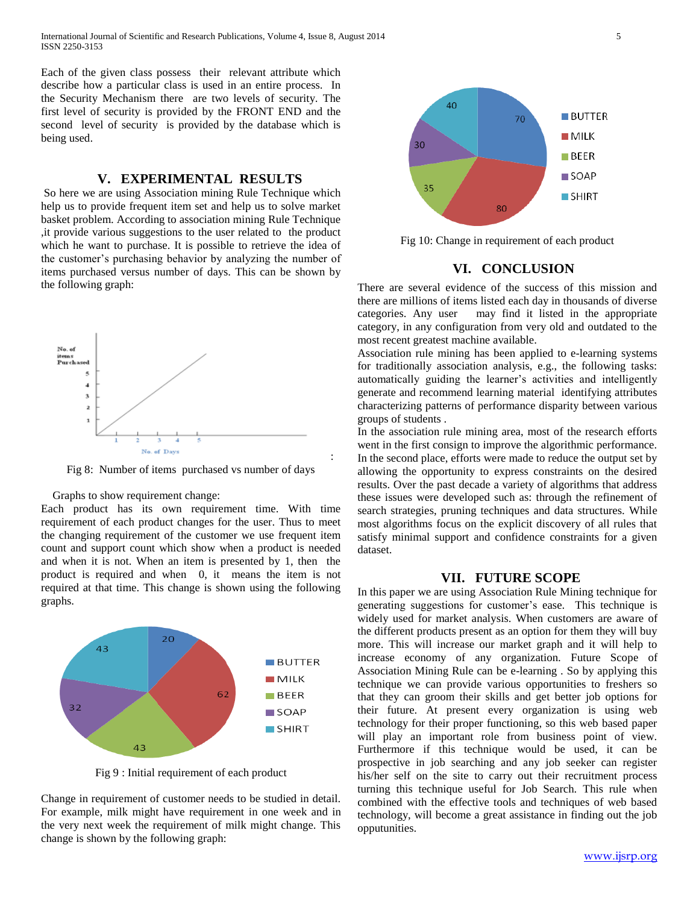Each of the given class possess their relevant attribute which describe how a particular class is used in an entire process. In the Security Mechanism there are two levels of security. The first level of security is provided by the FRONT END and the second level of security is provided by the database which is being used.

# **V. EXPERIMENTAL RESULTS**

So here we are using Association mining Rule Technique which help us to provide frequent item set and help us to solve market basket problem. According to association mining Rule Technique ,it provide various suggestions to the user related to the product which he want to purchase. It is possible to retrieve the idea of the customer's purchasing behavior by analyzing the number of items purchased versus number of days. This can be shown by the following graph:



Fig 8: Number of items purchased vs number of days

Graphs to show requirement change:

Each product has its own requirement time. With time requirement of each product changes for the user. Thus to meet the changing requirement of the customer we use frequent item count and support count which show when a product is needed and when it is not. When an item is presented by 1, then the product is required and when 0, it means the item is not required at that time. This change is shown using the following graphs.



Fig 9 : Initial requirement of each product

Change in requirement of customer needs to be studied in detail. For example, milk might have requirement in one week and in the very next week the requirement of milk might change. This change is shown by the following graph:



Fig 10: Change in requirement of each product

## **VI. CONCLUSION**

There are several evidence of the success of this mission and there are millions of items listed each day in thousands of diverse categories. Any user may find it listed in the appropriate category, in any configuration from very old and outdated to the most recent greatest machine available.

Association rule mining has been applied to e-learning systems for traditionally association analysis, e.g., the following tasks: automatically guiding the learner's activities and intelligently generate and recommend learning material identifying attributes characterizing patterns of performance disparity between various groups of students .

In the association rule mining area, most of the research efforts went in the first consign to improve the algorithmic performance. In the second place, efforts were made to reduce the output set by allowing the opportunity to express constraints on the desired results. Over the past decade a variety of algorithms that address these issues were developed such as: through the refinement of search strategies, pruning techniques and data structures. While most algorithms focus on the explicit discovery of all rules that satisfy minimal support and confidence constraints for a given dataset.

## **VII. FUTURE SCOPE**

In this paper we are using Association Rule Mining technique for generating suggestions for customer's ease. This technique is widely used for market analysis. When customers are aware of the different products present as an option for them they will buy more. This will increase our market graph and it will help to increase economy of any organization. Future Scope of Association Mining Rule can be e-learning . So by applying this technique we can provide various opportunities to freshers so that they can groom their skills and get better job options for their future. At present every organization is using web technology for their proper functioning, so this web based paper will play an important role from business point of view. Furthermore if this technique would be used, it can be prospective in job searching and any job seeker can register his/her self on the site to carry out their recruitment process turning this technique useful for Job Search. This rule when combined with the effective tools and techniques of web based technology, will become a great assistance in finding out the job opputunities.